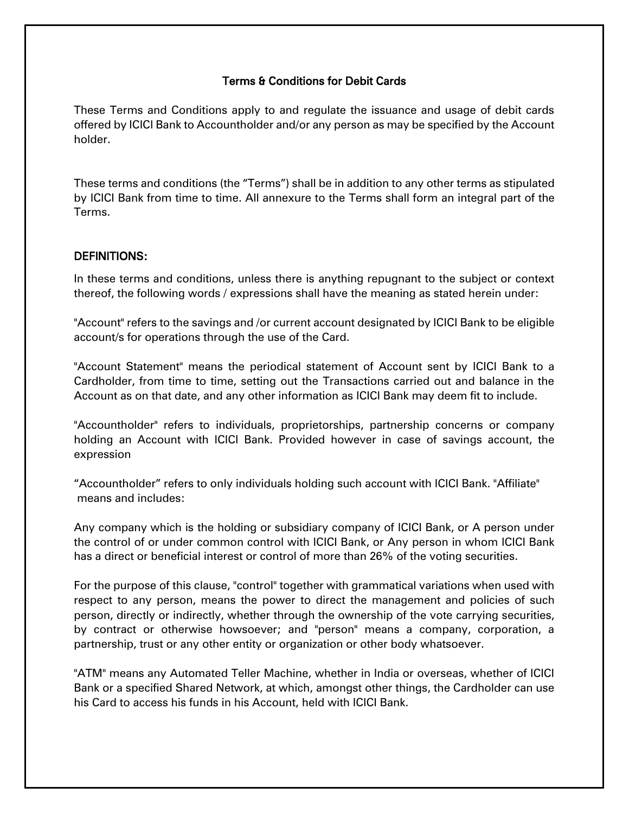#### Terms & Conditions for Debit Cards

These Terms and Conditions apply to and regulate the issuance and usage of debit cards offered by ICICI Bank to Accountholder and/or any person as may be specified by the Account holder.

These terms and conditions (the "Terms") shall be in addition to any other terms as stipulated by ICICI Bank from time to time. All annexure to the Terms shall form an integral part of the Terms.

#### DEFINITIONS:

In these terms and conditions, unless there is anything repugnant to the subject or context thereof, the following words / expressions shall have the meaning as stated herein under:

"Account" refers to the savings and /or current account designated by ICICI Bank to be eligible account/s for operations through the use of the Card.

"Account Statement" means the periodical statement of Account sent by ICICI Bank to a Cardholder, from time to time, setting out the Transactions carried out and balance in the Account as on that date, and any other information as ICICI Bank may deem fit to include.

"Accountholder" refers to individuals, proprietorships, partnership concerns or company holding an Account with ICICI Bank. Provided however in case of savings account, the expression

"Accountholder" refers to only individuals holding such account with ICICI Bank. "Affiliate" means and includes:

Any company which is the holding or subsidiary company of ICICI Bank, or A person under the control of or under common control with ICICI Bank, or Any person in whom ICICI Bank has a direct or beneficial interest or control of more than 26% of the voting securities.

For the purpose of this clause, "control" together with grammatical variations when used with respect to any person, means the power to direct the management and policies of such person, directly or indirectly, whether through the ownership of the vote carrying securities, by contract or otherwise howsoever; and "person" means a company, corporation, a partnership, trust or any other entity or organization or other body whatsoever.

"ATM" means any Automated Teller Machine, whether in India or overseas, whether of ICICI Bank or a specified Shared Network, at which, amongst other things, the Cardholder can use his Card to access his funds in his Account, held with ICICI Bank.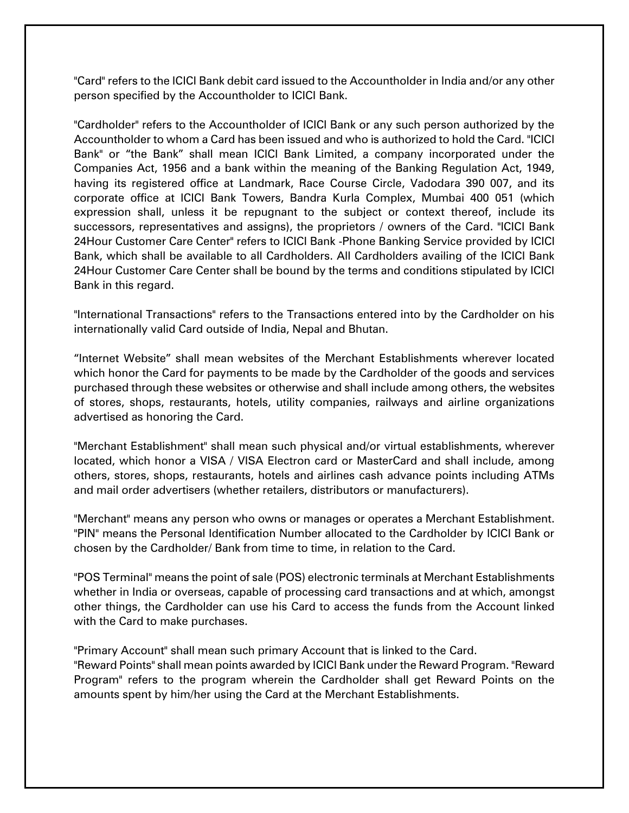"Card" refers to the ICICI Bank debit card issued to the Accountholder in India and/or any other person specified by the Accountholder to ICICI Bank.

"Cardholder" refers to the Accountholder of ICICI Bank or any such person authorized by the Accountholder to whom a Card has been issued and who is authorized to hold the Card. "ICICI Bank" or "the Bank" shall mean ICICI Bank Limited, a company incorporated under the Companies Act, 1956 and a bank within the meaning of the Banking Regulation Act, 1949, having its registered office at Landmark, Race Course Circle, Vadodara 390 007, and its corporate office at ICICI Bank Towers, Bandra Kurla Complex, Mumbai 400 051 (which expression shall, unless it be repugnant to the subject or context thereof, include its successors, representatives and assigns), the proprietors / owners of the Card. "ICICI Bank 24Hour Customer Care Center" refers to ICICI Bank -Phone Banking Service provided by ICICI Bank, which shall be available to all Cardholders. All Cardholders availing of the ICICI Bank 24Hour Customer Care Center shall be bound by the terms and conditions stipulated by ICICI Bank in this regard.

"International Transactions" refers to the Transactions entered into by the Cardholder on his internationally valid Card outside of India, Nepal and Bhutan.

"Internet Website" shall mean websites of the Merchant Establishments wherever located which honor the Card for payments to be made by the Cardholder of the goods and services purchased through these websites or otherwise and shall include among others, the websites of stores, shops, restaurants, hotels, utility companies, railways and airline organizations advertised as honoring the Card.

"Merchant Establishment" shall mean such physical and/or virtual establishments, wherever located, which honor a VISA / VISA Electron card or MasterCard and shall include, among others, stores, shops, restaurants, hotels and airlines cash advance points including ATMs and mail order advertisers (whether retailers, distributors or manufacturers).

"Merchant" means any person who owns or manages or operates a Merchant Establishment. "PIN" means the Personal Identification Number allocated to the Cardholder by ICICI Bank or chosen by the Cardholder/ Bank from time to time, in relation to the Card.

"POS Terminal" means the point of sale (POS) electronic terminals at Merchant Establishments whether in India or overseas, capable of processing card transactions and at which, amongst other things, the Cardholder can use his Card to access the funds from the Account linked with the Card to make purchases.

"Primary Account" shall mean such primary Account that is linked to the Card.

"Reward Points" shall mean points awarded by ICICI Bank under the Reward Program. "Reward Program" refers to the program wherein the Cardholder shall get Reward Points on the amounts spent by him/her using the Card at the Merchant Establishments.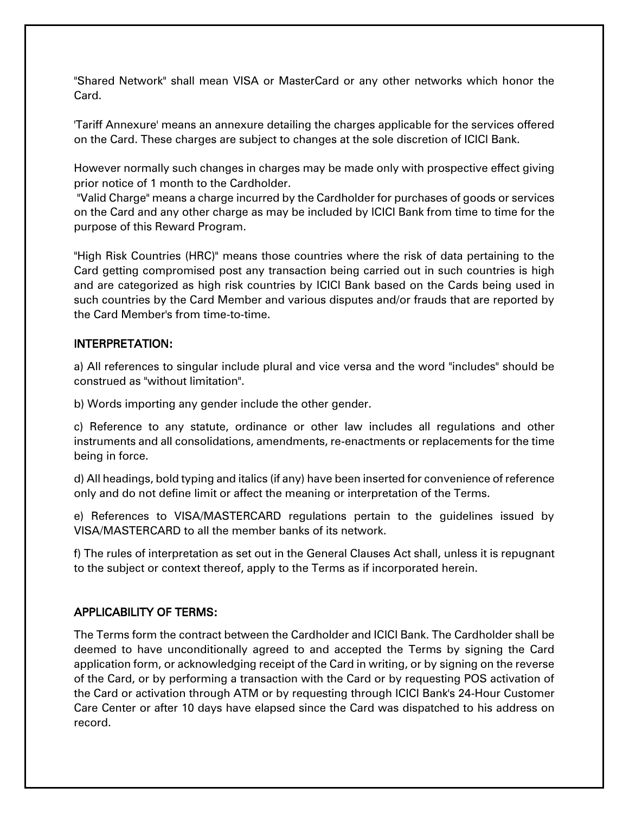"Shared Network" shall mean VISA or MasterCard or any other networks which honor the Card.

'Tariff Annexure' means an annexure detailing the charges applicable for the services offered on the Card. These charges are subject to changes at the sole discretion of ICICI Bank.

However normally such changes in charges may be made only with prospective effect giving prior notice of 1 month to the Cardholder.

"Valid Charge" means a charge incurred by the Cardholder for purchases of goods or services on the Card and any other charge as may be included by ICICI Bank from time to time for the purpose of this Reward Program.

"High Risk Countries (HRC)" means those countries where the risk of data pertaining to the Card getting compromised post any transaction being carried out in such countries is high and are categorized as high risk countries by ICICI Bank based on the Cards being used in such countries by the Card Member and various disputes and/or frauds that are reported by the Card Member's from time-to-time.

#### INTERPRETATION:

a) All references to singular include plural and vice versa and the word "includes" should be construed as "without limitation".

b) Words importing any gender include the other gender.

c) Reference to any statute, ordinance or other law includes all regulations and other instruments and all consolidations, amendments, re-enactments or replacements for the time being in force.

d) All headings, bold typing and italics (if any) have been inserted for convenience of reference only and do not define limit or affect the meaning or interpretation of the Terms.

e) References to VISA/MASTERCARD regulations pertain to the guidelines issued by VISA/MASTERCARD to all the member banks of its network.

f) The rules of interpretation as set out in the General Clauses Act shall, unless it is repugnant to the subject or context thereof, apply to the Terms as if incorporated herein.

# APPLICABILITY OF TERMS:

The Terms form the contract between the Cardholder and ICICI Bank. The Cardholder shall be deemed to have unconditionally agreed to and accepted the Terms by signing the Card application form, or acknowledging receipt of the Card in writing, or by signing on the reverse of the Card, or by performing a transaction with the Card or by requesting POS activation of the Card or activation through ATM or by requesting through ICICI Bank's 24-Hour Customer Care Center or after 10 days have elapsed since the Card was dispatched to his address on record.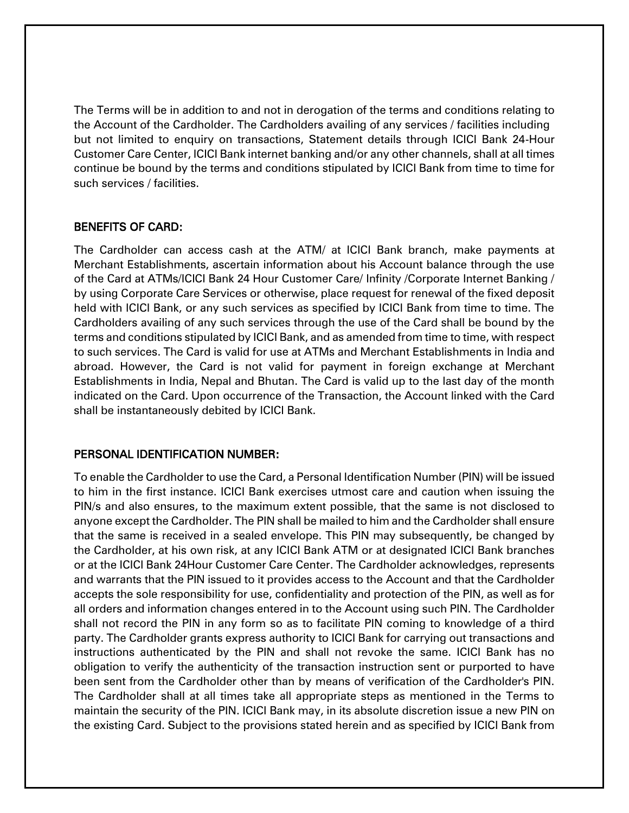The Terms will be in addition to and not in derogation of the terms and conditions relating to the Account of the Cardholder. The Cardholders availing of any services / facilities including but not limited to enquiry on transactions, Statement details through ICICI Bank 24-Hour Customer Care Center, ICICI Bank internet banking and/or any other channels, shall at all times continue be bound by the terms and conditions stipulated by ICICI Bank from time to time for such services / facilities.

#### BENEFITS OF CARD:

The Cardholder can access cash at the ATM/ at ICICI Bank branch, make payments at Merchant Establishments, ascertain information about his Account balance through the use of the Card at ATMs/ICICI Bank 24 Hour Customer Care/ Infinity /Corporate Internet Banking / by using Corporate Care Services or otherwise, place request for renewal of the fixed deposit held with ICICI Bank, or any such services as specified by ICICI Bank from time to time. The Cardholders availing of any such services through the use of the Card shall be bound by the terms and conditions stipulated by ICICI Bank, and as amended from time to time, with respect to such services. The Card is valid for use at ATMs and Merchant Establishments in India and abroad. However, the Card is not valid for payment in foreign exchange at Merchant Establishments in India, Nepal and Bhutan. The Card is valid up to the last day of the month indicated on the Card. Upon occurrence of the Transaction, the Account linked with the Card shall be instantaneously debited by ICICI Bank.

#### PERSONAL IDENTIFICATION NUMBER:

To enable the Cardholder to use the Card, a Personal Identification Number (PIN) will be issued to him in the first instance. ICICI Bank exercises utmost care and caution when issuing the PIN/s and also ensures, to the maximum extent possible, that the same is not disclosed to anyone except the Cardholder. The PIN shall be mailed to him and the Cardholder shall ensure that the same is received in a sealed envelope. This PIN may subsequently, be changed by the Cardholder, at his own risk, at any ICICI Bank ATM or at designated ICICI Bank branches or at the ICICI Bank 24Hour Customer Care Center. The Cardholder acknowledges, represents and warrants that the PIN issued to it provides access to the Account and that the Cardholder accepts the sole responsibility for use, confidentiality and protection of the PIN, as well as for all orders and information changes entered in to the Account using such PIN. The Cardholder shall not record the PIN in any form so as to facilitate PIN coming to knowledge of a third party. The Cardholder grants express authority to ICICI Bank for carrying out transactions and instructions authenticated by the PIN and shall not revoke the same. ICICI Bank has no obligation to verify the authenticity of the transaction instruction sent or purported to have been sent from the Cardholder other than by means of verification of the Cardholder's PIN. The Cardholder shall at all times take all appropriate steps as mentioned in the Terms to maintain the security of the PIN. ICICI Bank may, in its absolute discretion issue a new PIN on the existing Card. Subject to the provisions stated herein and as specified by ICICI Bank from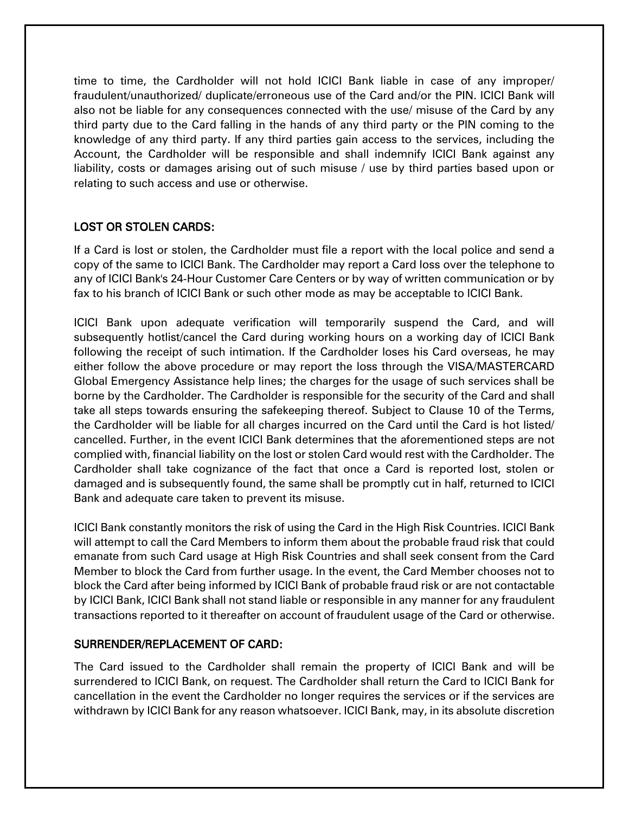time to time, the Cardholder will not hold ICICI Bank liable in case of any improper/ fraudulent/unauthorized/ duplicate/erroneous use of the Card and/or the PIN. ICICI Bank will also not be liable for any consequences connected with the use/ misuse of the Card by any third party due to the Card falling in the hands of any third party or the PIN coming to the knowledge of any third party. If any third parties gain access to the services, including the Account, the Cardholder will be responsible and shall indemnify ICICI Bank against any liability, costs or damages arising out of such misuse / use by third parties based upon or relating to such access and use or otherwise.

# LOST OR STOLEN CARDS:

If a Card is lost or stolen, the Cardholder must file a report with the local police and send a copy of the same to ICICI Bank. The Cardholder may report a Card loss over the telephone to any of ICICI Bank's 24-Hour Customer Care Centers or by way of written communication or by fax to his branch of ICICI Bank or such other mode as may be acceptable to ICICI Bank.

ICICI Bank upon adequate verification will temporarily suspend the Card, and will subsequently hotlist/cancel the Card during working hours on a working day of ICICI Bank following the receipt of such intimation. If the Cardholder loses his Card overseas, he may either follow the above procedure or may report the loss through the VISA/MASTERCARD Global Emergency Assistance help lines; the charges for the usage of such services shall be borne by the Cardholder. The Cardholder is responsible for the security of the Card and shall take all steps towards ensuring the safekeeping thereof. Subject to Clause 10 of the Terms, the Cardholder will be liable for all charges incurred on the Card until the Card is hot listed/ cancelled. Further, in the event ICICI Bank determines that the aforementioned steps are not complied with, financial liability on the lost or stolen Card would rest with the Cardholder. The Cardholder shall take cognizance of the fact that once a Card is reported lost, stolen or damaged and is subsequently found, the same shall be promptly cut in half, returned to ICICI Bank and adequate care taken to prevent its misuse.

ICICI Bank constantly monitors the risk of using the Card in the High Risk Countries. ICICI Bank will attempt to call the Card Members to inform them about the probable fraud risk that could emanate from such Card usage at High Risk Countries and shall seek consent from the Card Member to block the Card from further usage. In the event, the Card Member chooses not to block the Card after being informed by ICICI Bank of probable fraud risk or are not contactable by ICICI Bank, ICICI Bank shall not stand liable or responsible in any manner for any fraudulent transactions reported to it thereafter on account of fraudulent usage of the Card or otherwise.

# SURRENDER/REPLACEMENT OF CARD:

The Card issued to the Cardholder shall remain the property of ICICI Bank and will be surrendered to ICICI Bank, on request. The Cardholder shall return the Card to ICICI Bank for cancellation in the event the Cardholder no longer requires the services or if the services are withdrawn by ICICI Bank for any reason whatsoever. ICICI Bank, may, in its absolute discretion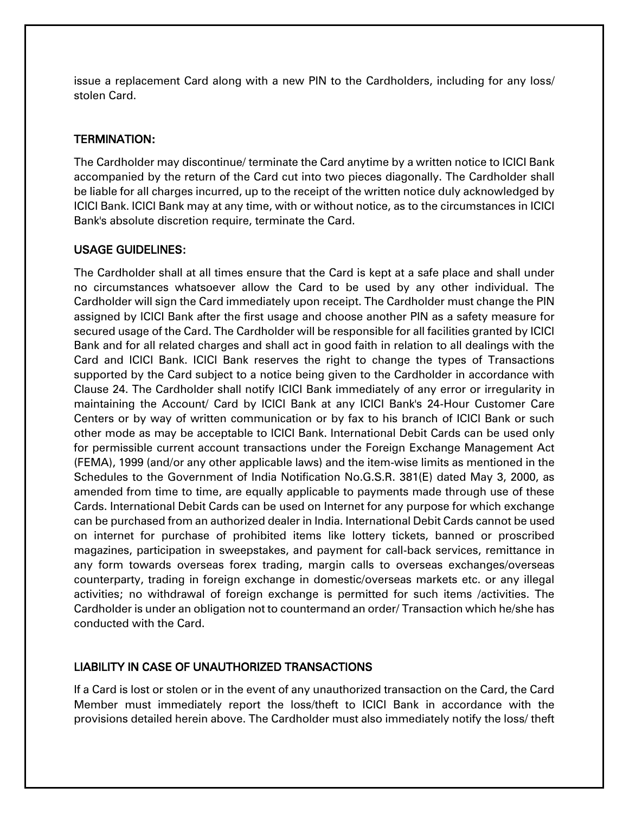issue a replacement Card along with a new PIN to the Cardholders, including for any loss/ stolen Card.

# TERMINATION:

The Cardholder may discontinue/ terminate the Card anytime by a written notice to ICICI Bank accompanied by the return of the Card cut into two pieces diagonally. The Cardholder shall be liable for all charges incurred, up to the receipt of the written notice duly acknowledged by ICICI Bank. ICICI Bank may at any time, with or without notice, as to the circumstances in ICICI Bank's absolute discretion require, terminate the Card.

#### USAGE GUIDELINES:

The Cardholder shall at all times ensure that the Card is kept at a safe place and shall under no circumstances whatsoever allow the Card to be used by any other individual. The Cardholder will sign the Card immediately upon receipt. The Cardholder must change the PIN assigned by ICICI Bank after the first usage and choose another PIN as a safety measure for secured usage of the Card. The Cardholder will be responsible for all facilities granted by ICICI Bank and for all related charges and shall act in good faith in relation to all dealings with the Card and ICICI Bank. ICICI Bank reserves the right to change the types of Transactions supported by the Card subject to a notice being given to the Cardholder in accordance with Clause 24. The Cardholder shall notify ICICI Bank immediately of any error or irregularity in maintaining the Account/ Card by ICICI Bank at any ICICI Bank's 24-Hour Customer Care Centers or by way of written communication or by fax to his branch of ICICI Bank or such other mode as may be acceptable to ICICI Bank. International Debit Cards can be used only for permissible current account transactions under the Foreign Exchange Management Act (FEMA), 1999 (and/or any other applicable laws) and the item-wise limits as mentioned in the Schedules to the Government of India Notification No.G.S.R. 381(E) dated May 3, 2000, as amended from time to time, are equally applicable to payments made through use of these Cards. International Debit Cards can be used on Internet for any purpose for which exchange can be purchased from an authorized dealer in India. International Debit Cards cannot be used on internet for purchase of prohibited items like lottery tickets, banned or proscribed magazines, participation in sweepstakes, and payment for call-back services, remittance in any form towards overseas forex trading, margin calls to overseas exchanges/overseas counterparty, trading in foreign exchange in domestic/overseas markets etc. or any illegal activities; no withdrawal of foreign exchange is permitted for such items /activities. The Cardholder is under an obligation not to countermand an order/ Transaction which he/she has conducted with the Card.

# LIABILITY IN CASE OF UNAUTHORIZED TRANSACTIONS

If a Card is lost or stolen or in the event of any unauthorized transaction on the Card, the Card Member must immediately report the loss/theft to ICICI Bank in accordance with the provisions detailed herein above. The Cardholder must also immediately notify the loss/ theft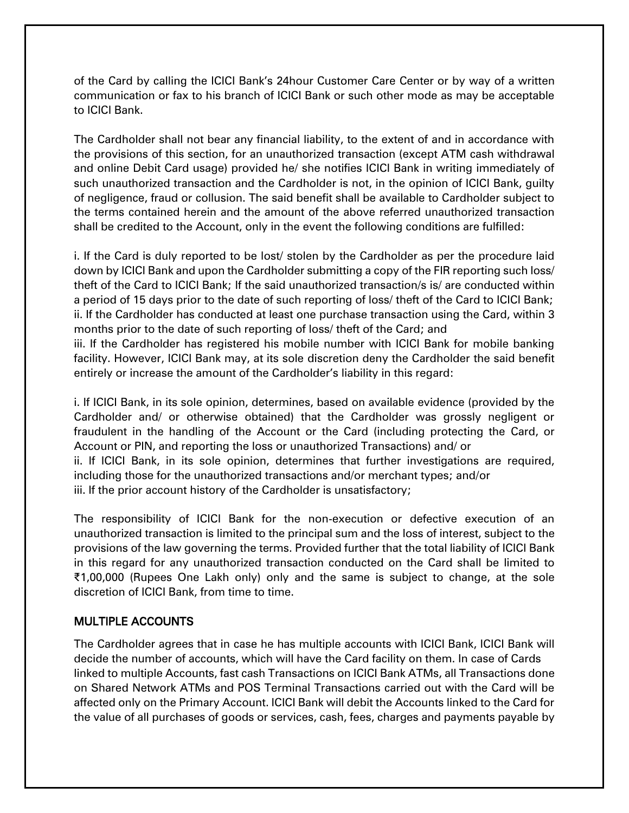of the Card by calling the ICICI Bank's 24hour Customer Care Center or by way of a written communication or fax to his branch of ICICI Bank or such other mode as may be acceptable to ICICI Bank.

The Cardholder shall not bear any financial liability, to the extent of and in accordance with the provisions of this section, for an unauthorized transaction (except ATM cash withdrawal and online Debit Card usage) provided he/ she notifies ICICI Bank in writing immediately of such unauthorized transaction and the Cardholder is not, in the opinion of ICICI Bank, guilty of negligence, fraud or collusion. The said benefit shall be available to Cardholder subject to the terms contained herein and the amount of the above referred unauthorized transaction shall be credited to the Account, only in the event the following conditions are fulfilled:

i. If the Card is duly reported to be lost/ stolen by the Cardholder as per the procedure laid down by ICICI Bank and upon the Cardholder submitting a copy of the FIR reporting such loss/ theft of the Card to ICICI Bank; If the said unauthorized transaction/s is/ are conducted within a period of 15 days prior to the date of such reporting of loss/ theft of the Card to ICICI Bank; ii. If the Cardholder has conducted at least one purchase transaction using the Card, within 3 months prior to the date of such reporting of loss/ theft of the Card; and

iii. If the Cardholder has registered his mobile number with ICICI Bank for mobile banking facility. However, ICICI Bank may, at its sole discretion deny the Cardholder the said benefit entirely or increase the amount of the Cardholder's liability in this regard:

i. If ICICI Bank, in its sole opinion, determines, based on available evidence (provided by the Cardholder and/ or otherwise obtained) that the Cardholder was grossly negligent or fraudulent in the handling of the Account or the Card (including protecting the Card, or Account or PIN, and reporting the loss or unauthorized Transactions) and/ or ii. If ICICI Bank, in its sole opinion, determines that further investigations are required, including those for the unauthorized transactions and/or merchant types; and/or iii. If the prior account history of the Cardholder is unsatisfactory;

The responsibility of ICICI Bank for the non-execution or defective execution of an unauthorized transaction is limited to the principal sum and the loss of interest, subject to the provisions of the law governing the terms. Provided further that the total liability of ICICI Bank in this regard for any unauthorized transaction conducted on the Card shall be limited to ₹1,00,000 (Rupees One Lakh only) only and the same is subject to change, at the sole discretion of ICICI Bank, from time to time.

# MULTIPLE ACCOUNTS

The Cardholder agrees that in case he has multiple accounts with ICICI Bank, ICICI Bank will decide the number of accounts, which will have the Card facility on them. In case of Cards linked to multiple Accounts, fast cash Transactions on ICICI Bank ATMs, all Transactions done on Shared Network ATMs and POS Terminal Transactions carried out with the Card will be affected only on the Primary Account. ICICI Bank will debit the Accounts linked to the Card for the value of all purchases of goods or services, cash, fees, charges and payments payable by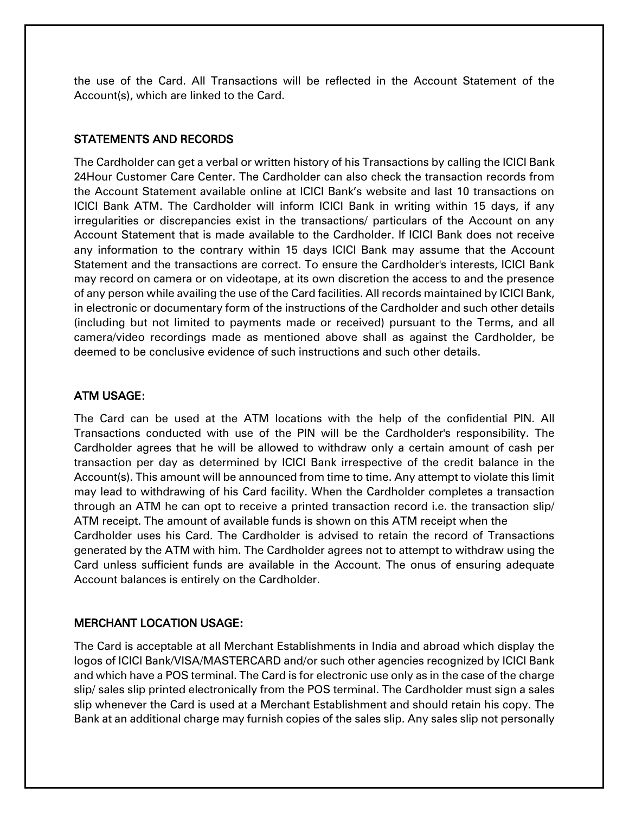the use of the Card. All Transactions will be reflected in the Account Statement of the Account(s), which are linked to the Card.

#### STATEMENTS AND RECORDS

The Cardholder can get a verbal or written history of his Transactions by calling the ICICI Bank 24Hour Customer Care Center. The Cardholder can also check the transaction records from the Account Statement available online at ICICI Bank's website and last 10 transactions on ICICI Bank ATM. The Cardholder will inform ICICI Bank in writing within 15 days, if any irregularities or discrepancies exist in the transactions/ particulars of the Account on any Account Statement that is made available to the Cardholder. If ICICI Bank does not receive any information to the contrary within 15 days ICICI Bank may assume that the Account Statement and the transactions are correct. To ensure the Cardholder's interests, ICICI Bank may record on camera or on videotape, at its own discretion the access to and the presence of any person while availing the use of the Card facilities. All records maintained by ICICI Bank, in electronic or documentary form of the instructions of the Cardholder and such other details (including but not limited to payments made or received) pursuant to the Terms, and all camera/video recordings made as mentioned above shall as against the Cardholder, be deemed to be conclusive evidence of such instructions and such other details.

# ATM USAGE:

The Card can be used at the ATM locations with the help of the confidential PIN. All Transactions conducted with use of the PIN will be the Cardholder's responsibility. The Cardholder agrees that he will be allowed to withdraw only a certain amount of cash per transaction per day as determined by ICICI Bank irrespective of the credit balance in the Account(s). This amount will be announced from time to time. Any attempt to violate this limit may lead to withdrawing of his Card facility. When the Cardholder completes a transaction through an ATM he can opt to receive a printed transaction record i.e. the transaction slip/ ATM receipt. The amount of available funds is shown on this ATM receipt when the Cardholder uses his Card. The Cardholder is advised to retain the record of Transactions generated by the ATM with him. The Cardholder agrees not to attempt to withdraw using the Card unless sufficient funds are available in the Account. The onus of ensuring adequate Account balances is entirely on the Cardholder.

# MERCHANT LOCATION USAGE:

The Card is acceptable at all Merchant Establishments in India and abroad which display the logos of ICICI Bank/VISA/MASTERCARD and/or such other agencies recognized by ICICI Bank and which have a POS terminal. The Card is for electronic use only as in the case of the charge slip/ sales slip printed electronically from the POS terminal. The Cardholder must sign a sales slip whenever the Card is used at a Merchant Establishment and should retain his copy. The Bank at an additional charge may furnish copies of the sales slip. Any sales slip not personally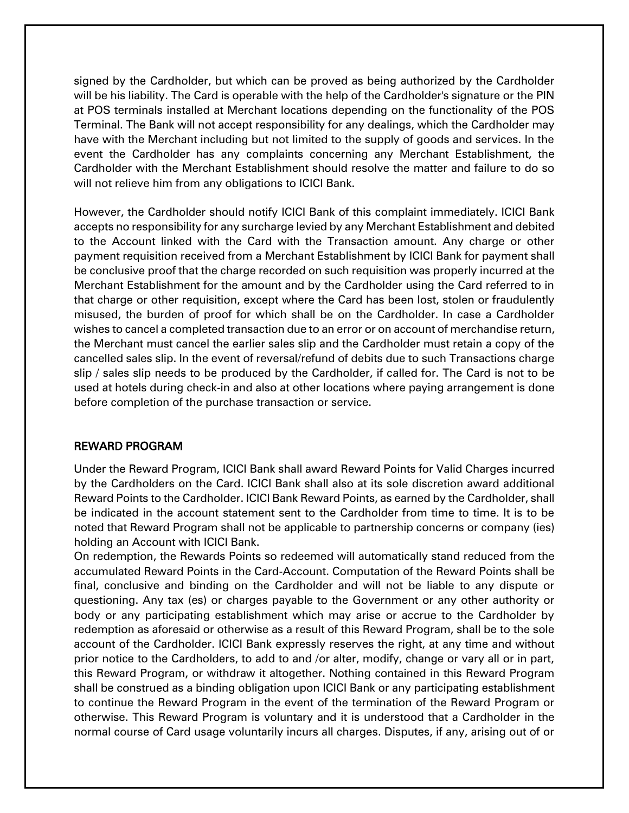signed by the Cardholder, but which can be proved as being authorized by the Cardholder will be his liability. The Card is operable with the help of the Cardholder's signature or the PIN at POS terminals installed at Merchant locations depending on the functionality of the POS Terminal. The Bank will not accept responsibility for any dealings, which the Cardholder may have with the Merchant including but not limited to the supply of goods and services. In the event the Cardholder has any complaints concerning any Merchant Establishment, the Cardholder with the Merchant Establishment should resolve the matter and failure to do so will not relieve him from any obligations to ICICI Bank.

However, the Cardholder should notify ICICI Bank of this complaint immediately. ICICI Bank accepts no responsibility for any surcharge levied by any Merchant Establishment and debited to the Account linked with the Card with the Transaction amount. Any charge or other payment requisition received from a Merchant Establishment by ICICI Bank for payment shall be conclusive proof that the charge recorded on such requisition was properly incurred at the Merchant Establishment for the amount and by the Cardholder using the Card referred to in that charge or other requisition, except where the Card has been lost, stolen or fraudulently misused, the burden of proof for which shall be on the Cardholder. In case a Cardholder wishes to cancel a completed transaction due to an error or on account of merchandise return, the Merchant must cancel the earlier sales slip and the Cardholder must retain a copy of the cancelled sales slip. In the event of reversal/refund of debits due to such Transactions charge slip / sales slip needs to be produced by the Cardholder, if called for. The Card is not to be used at hotels during check-in and also at other locations where paying arrangement is done before completion of the purchase transaction or service.

# REWARD PROGRAM

Under the Reward Program, ICICI Bank shall award Reward Points for Valid Charges incurred by the Cardholders on the Card. ICICI Bank shall also at its sole discretion award additional Reward Points to the Cardholder. ICICI Bank Reward Points, as earned by the Cardholder, shall be indicated in the account statement sent to the Cardholder from time to time. It is to be noted that Reward Program shall not be applicable to partnership concerns or company (ies) holding an Account with ICICI Bank.

On redemption, the Rewards Points so redeemed will automatically stand reduced from the accumulated Reward Points in the Card-Account. Computation of the Reward Points shall be final, conclusive and binding on the Cardholder and will not be liable to any dispute or questioning. Any tax (es) or charges payable to the Government or any other authority or body or any participating establishment which may arise or accrue to the Cardholder by redemption as aforesaid or otherwise as a result of this Reward Program, shall be to the sole account of the Cardholder. ICICI Bank expressly reserves the right, at any time and without prior notice to the Cardholders, to add to and /or alter, modify, change or vary all or in part, this Reward Program, or withdraw it altogether. Nothing contained in this Reward Program shall be construed as a binding obligation upon ICICI Bank or any participating establishment to continue the Reward Program in the event of the termination of the Reward Program or otherwise. This Reward Program is voluntary and it is understood that a Cardholder in the normal course of Card usage voluntarily incurs all charges. Disputes, if any, arising out of or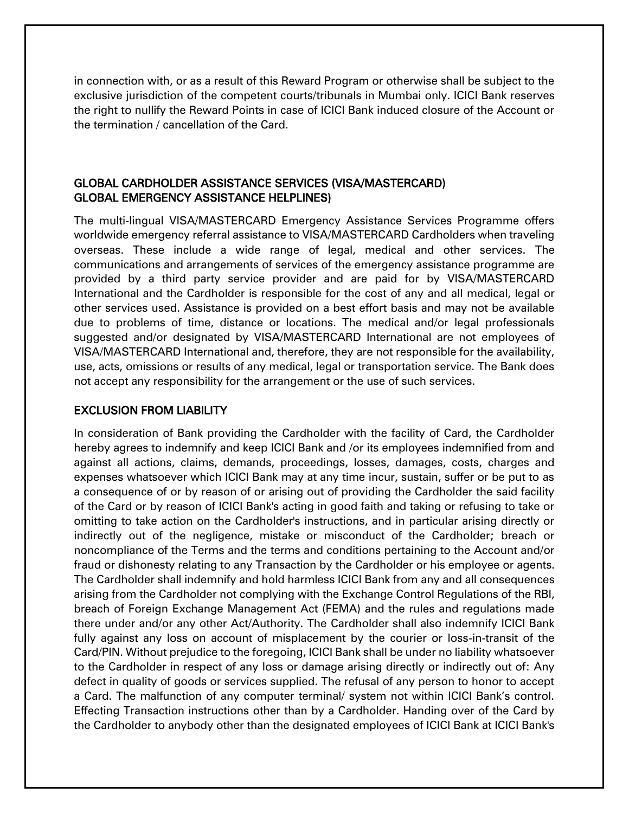in connection with, or as a result of this Reward Program or otherwise shall be subject to the exclusive jurisdiction of the competent courts/tribunals in Mumbai only. ICICI Bank reserves the right to nullify the Reward Points in case of ICICI Bank induced closure of the Account or the termination / cancellation of the Card.

# GLOBAL CARDHOLDER ASSISTANCE SERVICES (VISA/MASTERCARD) GLOBAL EMERGENCY ASSISTANCE HELPLINES)

The multi-lingual VISA/MASTERCARD Emergency Assistance Services Programme offers worldwide emergency referral assistance to VISA/MASTERCARD Cardholders when traveling overseas. These include a wide range of legal, medical and other services. The communications and arrangements of services of the emergency assistance programme are provided by a third party service provider and are paid for by VISA/MASTERCARD International and the Cardholder is responsible for the cost of any and all medical, legal or other services used. Assistance is provided on a best effort basis and may not be available due to problems of time, distance or locations. The medical and/or legal professionals suggested and/or designated by VISA/MASTERCARD International are not employees of VISA/MASTERCARD International and, therefore, they are not responsible for the availability, use, acts, omissions or results of any medical, legal or transportation service. The Bank does not accept any responsibility for the arrangement or the use of such services.

# EXCLUSION FROM LIABILITY

In consideration of Bank providing the Cardholder with the facility of Card, the Cardholder hereby agrees to indemnify and keep ICICI Bank and /or its employees indemnified from and against all actions, claims, demands, proceedings, losses, damages, costs, charges and expenses whatsoever which ICICI Bank may at any time incur, sustain, suffer or be put to as a consequence of or by reason of or arising out of providing the Cardholder the said facility of the Card or by reason of ICICI Bank's acting in good faith and taking or refusing to take or omitting to take action on the Cardholder's instructions, and in particular arising directly or indirectly out of the negligence, mistake or misconduct of the Cardholder; breach or noncompliance of the Terms and the terms and conditions pertaining to the Account and/or fraud or dishonesty relating to any Transaction by the Cardholder or his employee or agents. The Cardholder shall indemnify and hold harmless ICICI Bank from any and all consequences arising from the Cardholder not complying with the Exchange Control Regulations of the RBI, breach of Foreign Exchange Management Act (FEMA) and the rules and regulations made there under and/or any other Act/Authority. The Cardholder shall also indemnify ICICI Bank fully against any loss on account of misplacement by the courier or loss-in-transit of the Card/PIN. Without prejudice to the foregoing, ICICI Bank shall be under no liability whatsoever to the Cardholder in respect of any loss or damage arising directly or indirectly out of: Any defect in quality of goods or services supplied. The refusal of any person to honor to accept a Card. The malfunction of any computer terminal/ system not within ICICI Bank's control. Effecting Transaction instructions other than by a Cardholder. Handing over of the Card by the Cardholder to anybody other than the designated employees of ICICI Bank at ICICI Bank's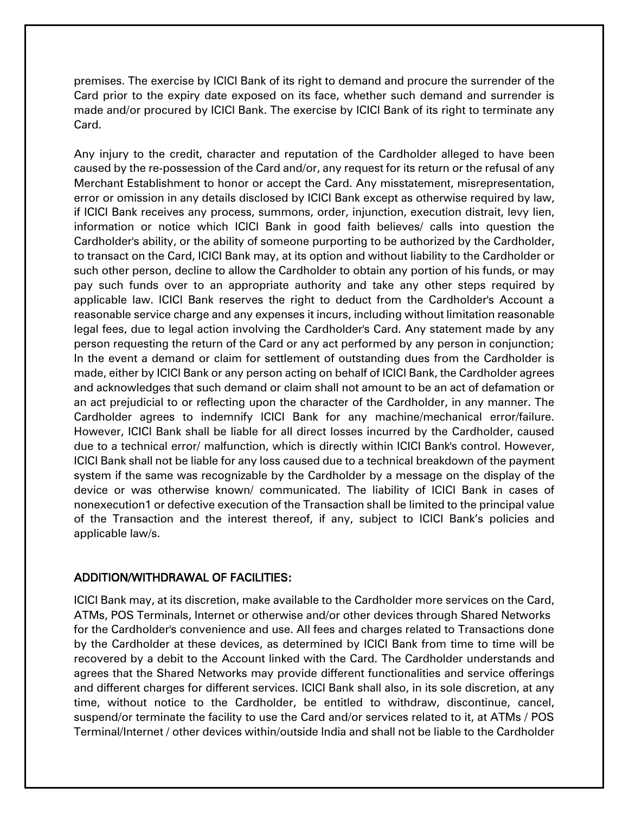premises. The exercise by ICICI Bank of its right to demand and procure the surrender of the Card prior to the expiry date exposed on its face, whether such demand and surrender is made and/or procured by ICICI Bank. The exercise by ICICI Bank of its right to terminate any Card.

Any injury to the credit, character and reputation of the Cardholder alleged to have been caused by the re-possession of the Card and/or, any request for its return or the refusal of any Merchant Establishment to honor or accept the Card. Any misstatement, misrepresentation, error or omission in any details disclosed by ICICI Bank except as otherwise required by law, if ICICI Bank receives any process, summons, order, injunction, execution distrait, levy lien, information or notice which ICICI Bank in good faith believes/ calls into question the Cardholder's ability, or the ability of someone purporting to be authorized by the Cardholder, to transact on the Card, ICICI Bank may, at its option and without liability to the Cardholder or such other person, decline to allow the Cardholder to obtain any portion of his funds, or may pay such funds over to an appropriate authority and take any other steps required by applicable law. ICICI Bank reserves the right to deduct from the Cardholder's Account a reasonable service charge and any expenses it incurs, including without limitation reasonable legal fees, due to legal action involving the Cardholder's Card. Any statement made by any person requesting the return of the Card or any act performed by any person in conjunction; In the event a demand or claim for settlement of outstanding dues from the Cardholder is made, either by ICICI Bank or any person acting on behalf of ICICI Bank, the Cardholder agrees and acknowledges that such demand or claim shall not amount to be an act of defamation or an act prejudicial to or reflecting upon the character of the Cardholder, in any manner. The Cardholder agrees to indemnify ICICI Bank for any machine/mechanical error/failure. However, ICICI Bank shall be liable for all direct losses incurred by the Cardholder, caused due to a technical error/ malfunction, which is directly within ICICI Bank's control. However, ICICI Bank shall not be liable for any loss caused due to a technical breakdown of the payment system if the same was recognizable by the Cardholder by a message on the display of the device or was otherwise known/ communicated. The liability of ICICI Bank in cases of nonexecution1 or defective execution of the Transaction shall be limited to the principal value of the Transaction and the interest thereof, if any, subject to ICICI Bank's policies and applicable law/s.

# ADDITION/WITHDRAWAL OF FACILITIES:

ICICI Bank may, at its discretion, make available to the Cardholder more services on the Card, ATMs, POS Terminals, Internet or otherwise and/or other devices through Shared Networks for the Cardholder's convenience and use. All fees and charges related to Transactions done by the Cardholder at these devices, as determined by ICICI Bank from time to time will be recovered by a debit to the Account linked with the Card. The Cardholder understands and agrees that the Shared Networks may provide different functionalities and service offerings and different charges for different services. ICICI Bank shall also, in its sole discretion, at any time, without notice to the Cardholder, be entitled to withdraw, discontinue, cancel, suspend/or terminate the facility to use the Card and/or services related to it, at ATMs / POS Terminal/Internet / other devices within/outside India and shall not be liable to the Cardholder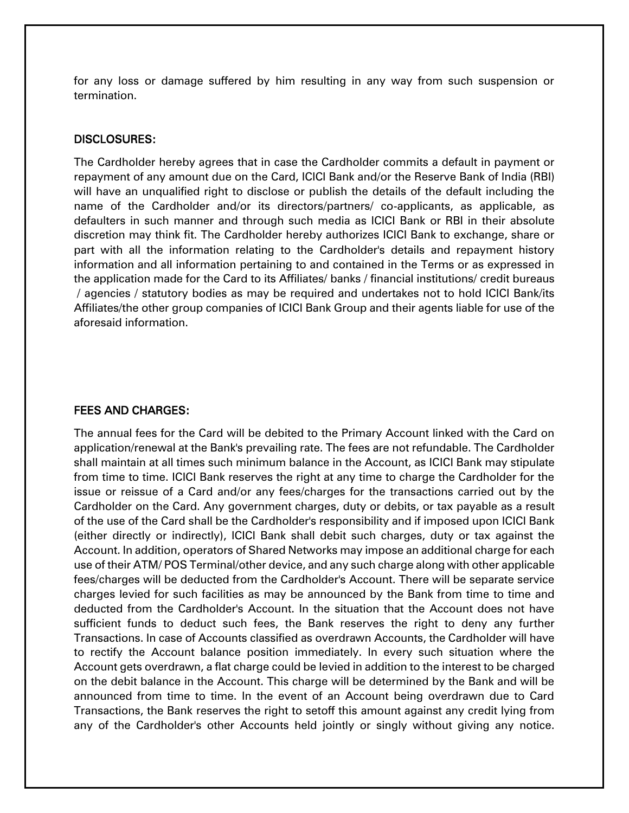for any loss or damage suffered by him resulting in any way from such suspension or termination.

#### DISCLOSURES:

The Cardholder hereby agrees that in case the Cardholder commits a default in payment or repayment of any amount due on the Card, ICICI Bank and/or the Reserve Bank of India (RBI) will have an unqualified right to disclose or publish the details of the default including the name of the Cardholder and/or its directors/partners/ co-applicants, as applicable, as defaulters in such manner and through such media as ICICI Bank or RBI in their absolute discretion may think fit. The Cardholder hereby authorizes ICICI Bank to exchange, share or part with all the information relating to the Cardholder's details and repayment history information and all information pertaining to and contained in the Terms or as expressed in the application made for the Card to its Affiliates/ banks / financial institutions/ credit bureaus / agencies / statutory bodies as may be required and undertakes not to hold ICICI Bank/its Affiliates/the other group companies of ICICI Bank Group and their agents liable for use of the aforesaid information.

#### FEES AND CHARGES:

The annual fees for the Card will be debited to the Primary Account linked with the Card on application/renewal at the Bank's prevailing rate. The fees are not refundable. The Cardholder shall maintain at all times such minimum balance in the Account, as ICICI Bank may stipulate from time to time. ICICI Bank reserves the right at any time to charge the Cardholder for the issue or reissue of a Card and/or any fees/charges for the transactions carried out by the Cardholder on the Card. Any government charges, duty or debits, or tax payable as a result of the use of the Card shall be the Cardholder's responsibility and if imposed upon ICICI Bank (either directly or indirectly), ICICI Bank shall debit such charges, duty or tax against the Account. In addition, operators of Shared Networks may impose an additional charge for each use of their ATM/ POS Terminal/other device, and any such charge along with other applicable fees/charges will be deducted from the Cardholder's Account. There will be separate service charges levied for such facilities as may be announced by the Bank from time to time and deducted from the Cardholder's Account. In the situation that the Account does not have sufficient funds to deduct such fees, the Bank reserves the right to deny any further Transactions. In case of Accounts classified as overdrawn Accounts, the Cardholder will have to rectify the Account balance position immediately. In every such situation where the Account gets overdrawn, a flat charge could be levied in addition to the interest to be charged on the debit balance in the Account. This charge will be determined by the Bank and will be announced from time to time. In the event of an Account being overdrawn due to Card Transactions, the Bank reserves the right to setoff this amount against any credit lying from any of the Cardholder's other Accounts held jointly or singly without giving any notice.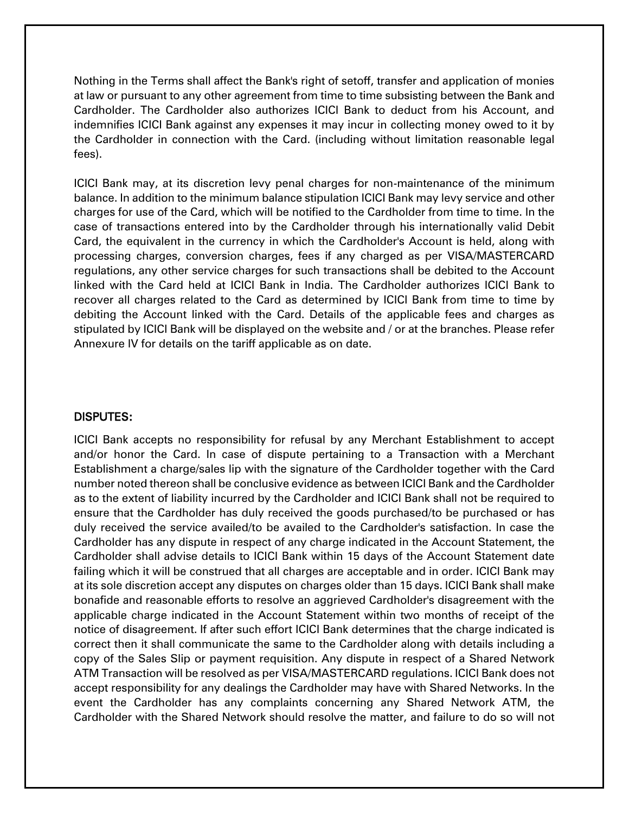Nothing in the Terms shall affect the Bank's right of setoff, transfer and application of monies at law or pursuant to any other agreement from time to time subsisting between the Bank and Cardholder. The Cardholder also authorizes ICICI Bank to deduct from his Account, and indemnifies ICICI Bank against any expenses it may incur in collecting money owed to it by the Cardholder in connection with the Card. (including without limitation reasonable legal fees).

ICICI Bank may, at its discretion levy penal charges for non-maintenance of the minimum balance. In addition to the minimum balance stipulation ICICI Bank may levy service and other charges for use of the Card, which will be notified to the Cardholder from time to time. In the case of transactions entered into by the Cardholder through his internationally valid Debit Card, the equivalent in the currency in which the Cardholder's Account is held, along with processing charges, conversion charges, fees if any charged as per VISA/MASTERCARD regulations, any other service charges for such transactions shall be debited to the Account linked with the Card held at ICICI Bank in India. The Cardholder authorizes ICICI Bank to recover all charges related to the Card as determined by ICICI Bank from time to time by debiting the Account linked with the Card. Details of the applicable fees and charges as stipulated by ICICI Bank will be displayed on the website and / or at the branches. Please refer Annexure IV for details on the tariff applicable as on date.

#### DISPUTES:

ICICI Bank accepts no responsibility for refusal by any Merchant Establishment to accept and/or honor the Card. In case of dispute pertaining to a Transaction with a Merchant Establishment a charge/sales lip with the signature of the Cardholder together with the Card number noted thereon shall be conclusive evidence as between ICICI Bank and the Cardholder as to the extent of liability incurred by the Cardholder and ICICI Bank shall not be required to ensure that the Cardholder has duly received the goods purchased/to be purchased or has duly received the service availed/to be availed to the Cardholder's satisfaction. In case the Cardholder has any dispute in respect of any charge indicated in the Account Statement, the Cardholder shall advise details to ICICI Bank within 15 days of the Account Statement date failing which it will be construed that all charges are acceptable and in order. ICICI Bank may at its sole discretion accept any disputes on charges older than 15 days. ICICI Bank shall make bonafide and reasonable efforts to resolve an aggrieved Cardholder's disagreement with the applicable charge indicated in the Account Statement within two months of receipt of the notice of disagreement. If after such effort ICICI Bank determines that the charge indicated is correct then it shall communicate the same to the Cardholder along with details including a copy of the Sales Slip or payment requisition. Any dispute in respect of a Shared Network ATM Transaction will be resolved as per VISA/MASTERCARD regulations. ICICI Bank does not accept responsibility for any dealings the Cardholder may have with Shared Networks. In the event the Cardholder has any complaints concerning any Shared Network ATM, the Cardholder with the Shared Network should resolve the matter, and failure to do so will not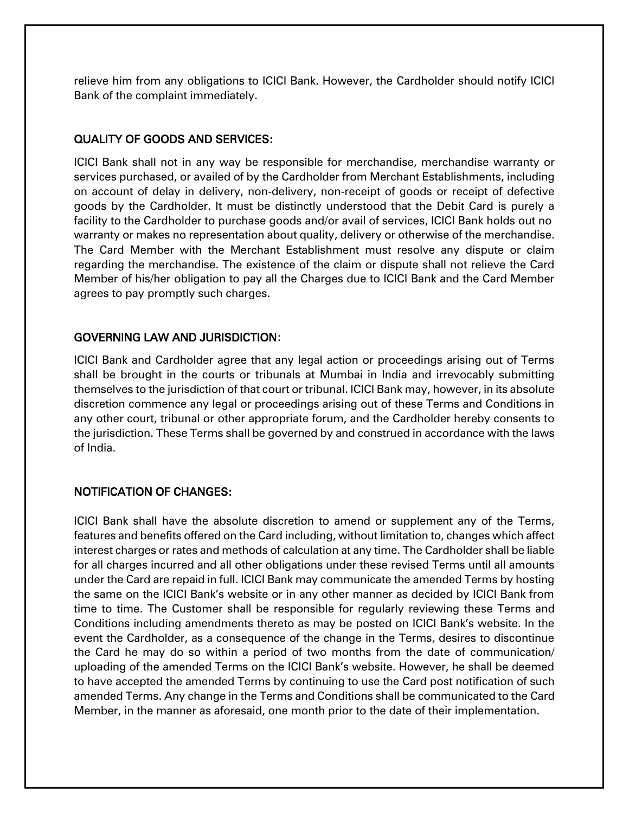relieve him from any obligations to ICICI Bank. However, the Cardholder should notify ICICI Bank of the complaint immediately.

#### QUALITY OF GOODS AND SERVICES:

ICICI Bank shall not in any way be responsible for merchandise, merchandise warranty or services purchased, or availed of by the Cardholder from Merchant Establishments, including on account of delay in delivery, non-delivery, non-receipt of goods or receipt of defective goods by the Cardholder. It must be distinctly understood that the Debit Card is purely a facility to the Cardholder to purchase goods and/or avail of services, ICICI Bank holds out no warranty or makes no representation about quality, delivery or otherwise of the merchandise. The Card Member with the Merchant Establishment must resolve any dispute or claim regarding the merchandise. The existence of the claim or dispute shall not relieve the Card Member of his/her obligation to pay all the Charges due to ICICI Bank and the Card Member agrees to pay promptly such charges.

# GOVERNING LAW AND JURISDICTION:

ICICI Bank and Cardholder agree that any legal action or proceedings arising out of Terms shall be brought in the courts or tribunals at Mumbai in India and irrevocably submitting themselves to the jurisdiction of that court or tribunal. ICICI Bank may, however, in its absolute discretion commence any legal or proceedings arising out of these Terms and Conditions in any other court, tribunal or other appropriate forum, and the Cardholder hereby consents to the jurisdiction. These Terms shall be governed by and construed in accordance with the laws of India.

# NOTIFICATION OF CHANGES:

ICICI Bank shall have the absolute discretion to amend or supplement any of the Terms, features and benefits offered on the Card including, without limitation to, changes which affect interest charges or rates and methods of calculation at any time. The Cardholder shall be liable for all charges incurred and all other obligations under these revised Terms until all amounts under the Card are repaid in full. ICICI Bank may communicate the amended Terms by hosting the same on the ICICI Bank's website or in any other manner as decided by ICICI Bank from time to time. The Customer shall be responsible for regularly reviewing these Terms and Conditions including amendments thereto as may be posted on ICICI Bank's website. In the event the Cardholder, as a consequence of the change in the Terms, desires to discontinue the Card he may do so within a period of two months from the date of communication/ uploading of the amended Terms on the ICICI Bank's website. However, he shall be deemed to have accepted the amended Terms by continuing to use the Card post notification of such amended Terms. Any change in the Terms and Conditions shall be communicated to the Card Member, in the manner as aforesaid, one month prior to the date of their implementation.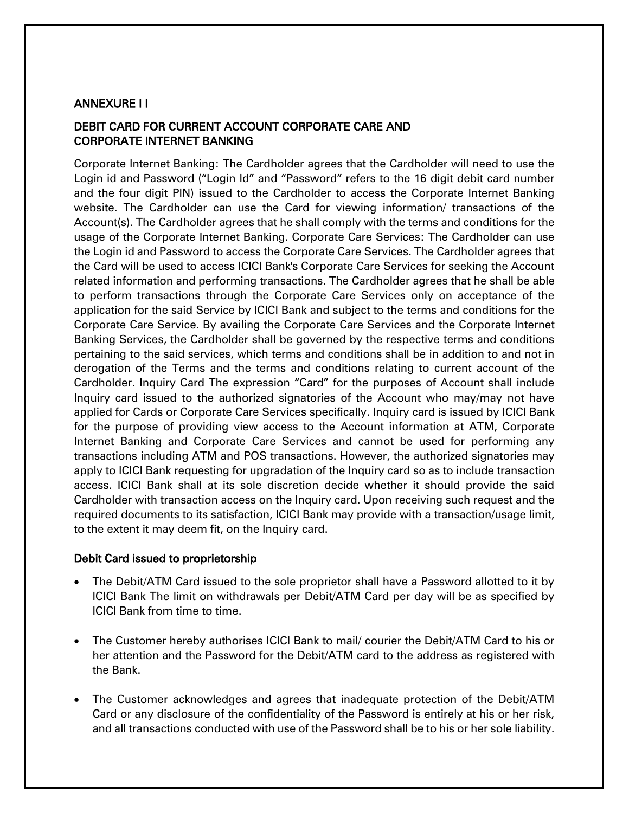#### ANNEXURE I I

# DEBIT CARD FOR CURRENT ACCOUNT CORPORATE CARE AND CORPORATE INTERNET BANKING

Corporate Internet Banking: The Cardholder agrees that the Cardholder will need to use the Login id and Password ("Login Id" and "Password" refers to the 16 digit debit card number and the four digit PIN) issued to the Cardholder to access the Corporate Internet Banking website. The Cardholder can use the Card for viewing information/ transactions of the Account(s). The Cardholder agrees that he shall comply with the terms and conditions for the usage of the Corporate Internet Banking. Corporate Care Services: The Cardholder can use the Login id and Password to access the Corporate Care Services. The Cardholder agrees that the Card will be used to access ICICI Bank's Corporate Care Services for seeking the Account related information and performing transactions. The Cardholder agrees that he shall be able to perform transactions through the Corporate Care Services only on acceptance of the application for the said Service by ICICI Bank and subject to the terms and conditions for the Corporate Care Service. By availing the Corporate Care Services and the Corporate Internet Banking Services, the Cardholder shall be governed by the respective terms and conditions pertaining to the said services, which terms and conditions shall be in addition to and not in derogation of the Terms and the terms and conditions relating to current account of the Cardholder. Inquiry Card The expression "Card" for the purposes of Account shall include Inquiry card issued to the authorized signatories of the Account who may/may not have applied for Cards or Corporate Care Services specifically. Inquiry card is issued by ICICI Bank for the purpose of providing view access to the Account information at ATM, Corporate Internet Banking and Corporate Care Services and cannot be used for performing any transactions including ATM and POS transactions. However, the authorized signatories may apply to ICICI Bank requesting for upgradation of the Inquiry card so as to include transaction access. ICICI Bank shall at its sole discretion decide whether it should provide the said Cardholder with transaction access on the Inquiry card. Upon receiving such request and the required documents to its satisfaction, ICICI Bank may provide with a transaction/usage limit, to the extent it may deem fit, on the Inquiry card.

#### Debit Card issued to proprietorship

- The Debit/ATM Card issued to the sole proprietor shall have a Password allotted to it by ICICI Bank The limit on withdrawals per Debit/ATM Card per day will be as specified by ICICI Bank from time to time.
- The Customer hereby authorises ICICI Bank to mail/ courier the Debit/ATM Card to his or her attention and the Password for the Debit/ATM card to the address as registered with the Bank.
- The Customer acknowledges and agrees that inadequate protection of the Debit/ATM Card or any disclosure of the confidentiality of the Password is entirely at his or her risk, and all transactions conducted with use of the Password shall be to his or her sole liability.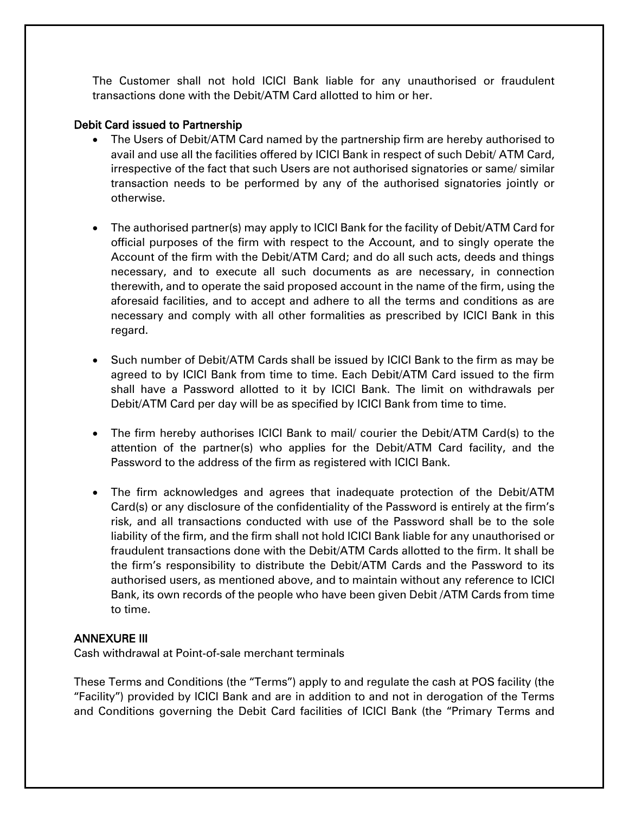The Customer shall not hold ICICI Bank liable for any unauthorised or fraudulent transactions done with the Debit/ATM Card allotted to him or her.

# Debit Card issued to Partnership

- The Users of Debit/ATM Card named by the partnership firm are hereby authorised to avail and use all the facilities offered by ICICI Bank in respect of such Debit/ ATM Card, irrespective of the fact that such Users are not authorised signatories or same/ similar transaction needs to be performed by any of the authorised signatories jointly or otherwise.
- The authorised partner(s) may apply to ICICI Bank for the facility of Debit/ATM Card for official purposes of the firm with respect to the Account, and to singly operate the Account of the firm with the Debit/ATM Card; and do all such acts, deeds and things necessary, and to execute all such documents as are necessary, in connection therewith, and to operate the said proposed account in the name of the firm, using the aforesaid facilities, and to accept and adhere to all the terms and conditions as are necessary and comply with all other formalities as prescribed by ICICI Bank in this regard.
- Such number of Debit/ATM Cards shall be issued by ICICI Bank to the firm as may be agreed to by ICICI Bank from time to time. Each Debit/ATM Card issued to the firm shall have a Password allotted to it by ICICI Bank. The limit on withdrawals per Debit/ATM Card per day will be as specified by ICICI Bank from time to time.
- The firm hereby authorises ICICI Bank to mail/ courier the Debit/ATM Card(s) to the attention of the partner(s) who applies for the Debit/ATM Card facility, and the Password to the address of the firm as registered with ICICI Bank.
- The firm acknowledges and agrees that inadequate protection of the Debit/ATM Card(s) or any disclosure of the confidentiality of the Password is entirely at the firm's risk, and all transactions conducted with use of the Password shall be to the sole liability of the firm, and the firm shall not hold ICICI Bank liable for any unauthorised or fraudulent transactions done with the Debit/ATM Cards allotted to the firm. It shall be the firm's responsibility to distribute the Debit/ATM Cards and the Password to its authorised users, as mentioned above, and to maintain without any reference to ICICI Bank, its own records of the people who have been given Debit /ATM Cards from time to time.

#### ANNEXURE III

Cash withdrawal at Point-of-sale merchant terminals

These Terms and Conditions (the "Terms") apply to and regulate the cash at POS facility (the "Facility") provided by ICICI Bank and are in addition to and not in derogation of the Terms and Conditions governing the Debit Card facilities of ICICI Bank (the "Primary Terms and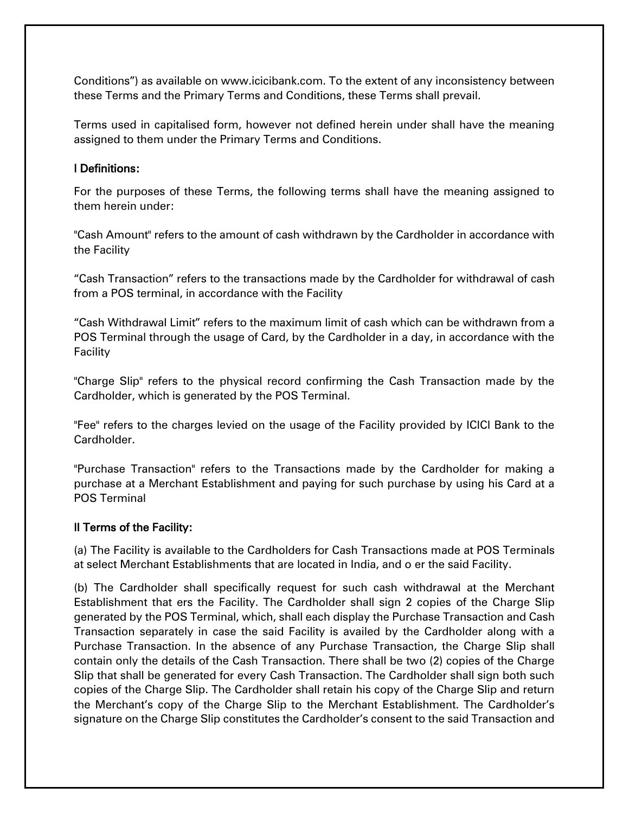Conditions") as available on www.icicibank.com. To the extent of any inconsistency between these Terms and the Primary Terms and Conditions, these Terms shall prevail.

Terms used in capitalised form, however not defined herein under shall have the meaning assigned to them under the Primary Terms and Conditions.

#### I Definitions:

For the purposes of these Terms, the following terms shall have the meaning assigned to them herein under:

"Cash Amount" refers to the amount of cash withdrawn by the Cardholder in accordance with the Facility

"Cash Transaction" refers to the transactions made by the Cardholder for withdrawal of cash from a POS terminal, in accordance with the Facility

"Cash Withdrawal Limit" refers to the maximum limit of cash which can be withdrawn from a POS Terminal through the usage of Card, by the Cardholder in a day, in accordance with the **Facility** 

"Charge Slip" refers to the physical record confirming the Cash Transaction made by the Cardholder, which is generated by the POS Terminal.

"Fee" refers to the charges levied on the usage of the Facility provided by ICICI Bank to the Cardholder.

"Purchase Transaction" refers to the Transactions made by the Cardholder for making a purchase at a Merchant Establishment and paying for such purchase by using his Card at a POS Terminal

#### II Terms of the Facility:

(a) The Facility is available to the Cardholders for Cash Transactions made at POS Terminals at select Merchant Establishments that are located in India, and o er the said Facility.

(b) The Cardholder shall specifically request for such cash withdrawal at the Merchant Establishment that ers the Facility. The Cardholder shall sign 2 copies of the Charge Slip generated by the POS Terminal, which, shall each display the Purchase Transaction and Cash Transaction separately in case the said Facility is availed by the Cardholder along with a Purchase Transaction. In the absence of any Purchase Transaction, the Charge Slip shall contain only the details of the Cash Transaction. There shall be two (2) copies of the Charge Slip that shall be generated for every Cash Transaction. The Cardholder shall sign both such copies of the Charge Slip. The Cardholder shall retain his copy of the Charge Slip and return the Merchant's copy of the Charge Slip to the Merchant Establishment. The Cardholder's signature on the Charge Slip constitutes the Cardholder's consent to the said Transaction and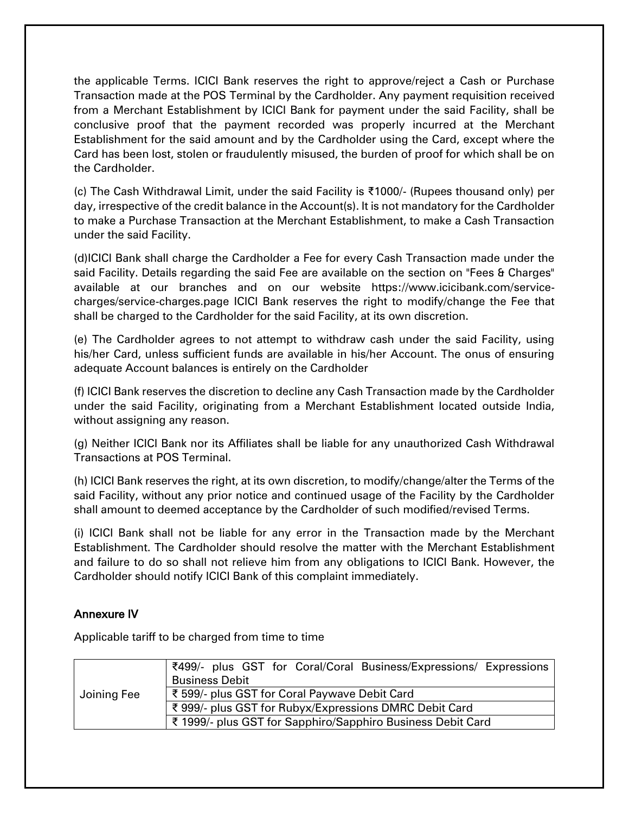the applicable Terms. ICICI Bank reserves the right to approve/reject a Cash or Purchase Transaction made at the POS Terminal by the Cardholder. Any payment requisition received from a Merchant Establishment by ICICI Bank for payment under the said Facility, shall be conclusive proof that the payment recorded was properly incurred at the Merchant Establishment for the said amount and by the Cardholder using the Card, except where the Card has been lost, stolen or fraudulently misused, the burden of proof for which shall be on the Cardholder.

(c) The Cash Withdrawal Limit, under the said Facility is ₹1000/- (Rupees thousand only) per day, irrespective of the credit balance in the Account(s). It is not mandatory for the Cardholder to make a Purchase Transaction at the Merchant Establishment, to make a Cash Transaction under the said Facility.

(d)ICICI Bank shall charge the Cardholder a Fee for every Cash Transaction made under the said Facility. Details regarding the said Fee are available on the section on "Fees & Charges" available at our branches and on our website https://www.icicibank.com/servicecharges/service-charges.page ICICI Bank reserves the right to modify/change the Fee that shall be charged to the Cardholder for the said Facility, at its own discretion.

(e) The Cardholder agrees to not attempt to withdraw cash under the said Facility, using his/her Card, unless sufficient funds are available in his/her Account. The onus of ensuring adequate Account balances is entirely on the Cardholder

(f) ICICI Bank reserves the discretion to decline any Cash Transaction made by the Cardholder under the said Facility, originating from a Merchant Establishment located outside India, without assigning any reason.

(g) Neither ICICI Bank nor its Affiliates shall be liable for any unauthorized Cash Withdrawal Transactions at POS Terminal.

(h) ICICI Bank reserves the right, at its own discretion, to modify/change/alter the Terms of the said Facility, without any prior notice and continued usage of the Facility by the Cardholder shall amount to deemed acceptance by the Cardholder of such modified/revised Terms.

(i) ICICI Bank shall not be liable for any error in the Transaction made by the Merchant Establishment. The Cardholder should resolve the matter with the Merchant Establishment and failure to do so shall not relieve him from any obligations to ICICI Bank. However, the Cardholder should notify ICICI Bank of this complaint immediately.

# Annexure IV

Applicable tariff to be charged from time to time

| Joining Fee | ₹499/- plus GST for Coral/Coral Business/Expressions/ Expressions<br><b>Business Debit</b> |
|-------------|--------------------------------------------------------------------------------------------|
|             | ₹ 599/- plus GST for Coral Paywave Debit Card                                              |
|             | ₹ 999/- plus GST for Rubyx/Expressions DMRC Debit Card                                     |
|             | ₹ 1999/- plus GST for Sapphiro/Sapphiro Business Debit Card                                |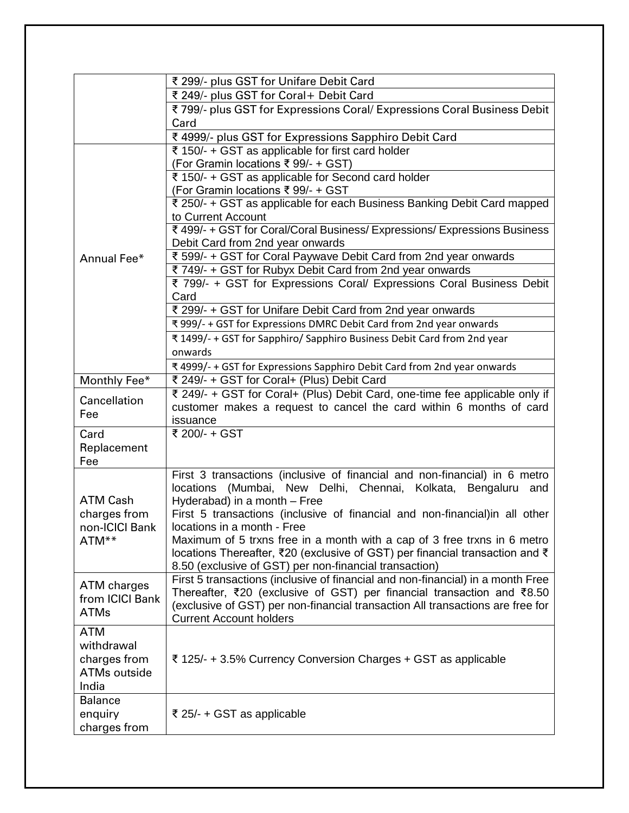|                                                            | ₹ 299/- plus GST for Unifare Debit Card                                                                     |
|------------------------------------------------------------|-------------------------------------------------------------------------------------------------------------|
|                                                            | ₹ 249/- plus GST for Coral+ Debit Card                                                                      |
|                                                            | ₹799/- plus GST for Expressions Coral/ Expressions Coral Business Debit                                     |
|                                                            | Card                                                                                                        |
|                                                            | ₹ 4999/- plus GST for Expressions Sapphiro Debit Card                                                       |
|                                                            | ₹ 150/- + GST as applicable for first card holder                                                           |
| Annual Fee*                                                | (For Gramin locations ₹ 99/- + GST)                                                                         |
|                                                            | ₹ 150/- + GST as applicable for Second card holder                                                          |
|                                                            | (For Gramin locations ₹ 99/- + GST                                                                          |
|                                                            | ₹ 250/- + GST as applicable for each Business Banking Debit Card mapped                                     |
|                                                            | to Current Account                                                                                          |
|                                                            | ₹ 499/- + GST for Coral/Coral Business/ Expressions/ Expressions Business                                   |
|                                                            | Debit Card from 2nd year onwards                                                                            |
|                                                            | ₹ 599/- + GST for Coral Paywave Debit Card from 2nd year onwards                                            |
|                                                            | ₹ 749/- + GST for Rubyx Debit Card from 2nd year onwards                                                    |
|                                                            | ₹ 799/- + GST for Expressions Coral/ Expressions Coral Business Debit                                       |
|                                                            | Card                                                                                                        |
|                                                            | ₹ 299/- + GST for Unifare Debit Card from 2nd year onwards                                                  |
|                                                            | ₹ 999/- + GST for Expressions DMRC Debit Card from 2nd year onwards                                         |
|                                                            | ₹ 1499/- + GST for Sapphiro/ Sapphiro Business Debit Card from 2nd year                                     |
|                                                            | onwards                                                                                                     |
|                                                            | ₹ 4999/- + GST for Expressions Sapphiro Debit Card from 2nd year onwards                                    |
| Monthly Fee*                                               | ₹ 249/- + GST for Coral+ (Plus) Debit Card                                                                  |
| Cancellation                                               | ₹ 249/- + GST for Coral+ (Plus) Debit Card, one-time fee applicable only if                                 |
| Fee                                                        | customer makes a request to cancel the card within 6 months of card                                         |
|                                                            | issuance                                                                                                    |
| Card                                                       | ₹ 200/- + GST                                                                                               |
| Replacement                                                |                                                                                                             |
| Fee                                                        |                                                                                                             |
|                                                            | First 3 transactions (inclusive of financial and non-financial) in 6 metro                                  |
| <b>ATM Cash</b><br>charges from<br>non-ICICI Bank<br>ATM** | locations (Mumbai, New Delhi, Chennai, Kolkata, Bengaluru<br>and                                            |
|                                                            | Hyderabad) in a month - Free<br>First 5 transactions (inclusive of financial and non-financial)in all other |
|                                                            | locations in a month - Free                                                                                 |
|                                                            | Maximum of 5 trxns free in a month with a cap of 3 free trxns in 6 metro                                    |
|                                                            | locations Thereafter, ₹20 (exclusive of GST) per financial transaction and ₹                                |
|                                                            | 8.50 (exclusive of GST) per non-financial transaction)                                                      |
|                                                            | First 5 transactions (inclusive of financial and non-financial) in a month Free                             |
| ATM charges                                                | Thereafter, ₹20 (exclusive of GST) per financial transaction and ₹8.50                                      |
| from ICICI Bank                                            | (exclusive of GST) per non-financial transaction All transactions are free for                              |
| <b>ATMs</b>                                                | <b>Current Account holders</b>                                                                              |
| <b>ATM</b>                                                 |                                                                                                             |
| withdrawal                                                 |                                                                                                             |
| charges from                                               | ₹ 125/- + 3.5% Currency Conversion Charges + GST as applicable                                              |
| <b>ATMs outside</b>                                        |                                                                                                             |
| India                                                      |                                                                                                             |
| <b>Balance</b>                                             |                                                                                                             |
| enquiry                                                    | ₹ 25/- + GST as applicable                                                                                  |
| charges from                                               |                                                                                                             |